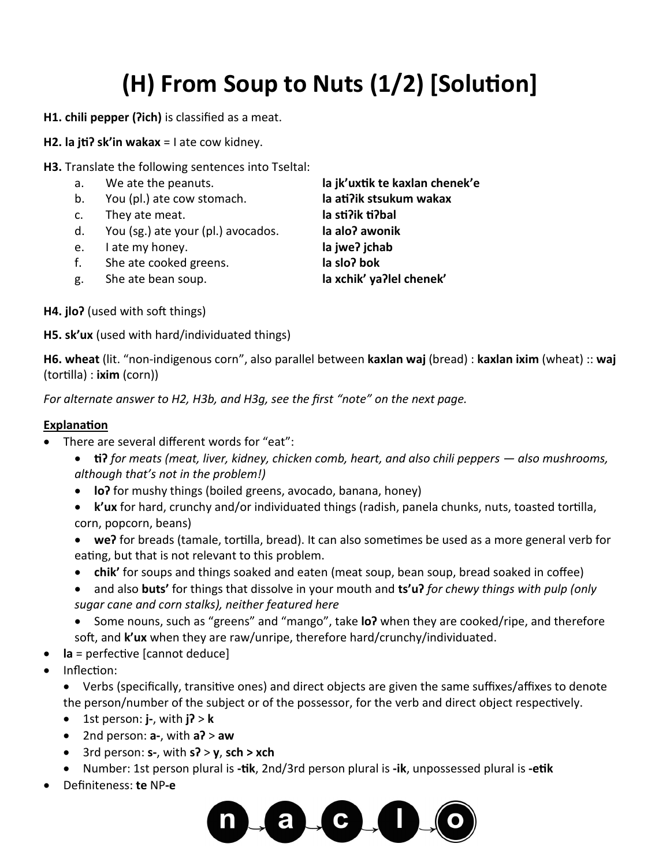## **(H) From Soup to Nuts (1/2) [Solution]**

- **H1. chili pepper (ʔich)** is classified as a meat.
- **H2. la jtiʔ sk'in wakax** = I ate cow kidney.
- **H3.** Translate the following sentences into Tseltal:
	-
	- b. You (pl.) ate cow stomach. **la atiʔik stsukum wakax**
	- c. They ate meat. **la stiʔik tiʔbal**
	- d. You (sg.) ate your (pl.) avocados. **la aloʔ awonik**
	- e. I ate my honey. **la jweʔ jchab**
	- f. She ate cooked greens. **la sloʔ bok**
	- g. She ate bean soup. **la xchik' yaʔlel chenek'**

a. We ate the peanuts. **la jk'uxtik te kaxlan chenek'e**

**H4. jloʔ** (used with soft things)

**H5. sk'ux** (used with hard/individuated things)

**H6. wheat** (lit. "non-indigenous corn", also parallel between **kaxlan waj** (bread) : **kaxlan ixim** (wheat) :: **waj** (tortilla) : **ixim** (corn))

*For alternate answer to H2, H3b, and H3g, see the first "note" on the next page.*

## **Explanation**

- There are several different words for "eat":
	- **tiʔ** *for meats (meat, liver, kidney, chicken comb, heart, and also chili peppers — also mushrooms, although that's not in the problem!)*
	- **loʔ** for mushy things (boiled greens, avocado, banana, honey)
	- **k'ux** for hard, crunchy and/or individuated things (radish, panela chunks, nuts, toasted tortilla, corn, popcorn, beans)
	- **weʔ** for breads (tamale, tortilla, bread). It can also sometimes be used as a more general verb for eating, but that is not relevant to this problem.
	- **chik'** for soups and things soaked and eaten (meat soup, bean soup, bread soaked in coffee)
	- and also **buts'** for things that dissolve in your mouth and **ts'uʔ** *for chewy things with pulp (only sugar cane and corn stalks), neither featured here*

• Some nouns, such as "greens" and "mango", take **loʔ** when they are cooked/ripe, and therefore soft, and **k'ux** when they are raw/unripe, therefore hard/crunchy/individuated.

- **la** = perfective [cannot deduce]
- Inflection:

• Verbs (specifically, transitive ones) and direct objects are given the same suffixes/affixes to denote the person/number of the subject or of the possessor, for the verb and direct object respectively.

- 1st person: **j-**, with **jʔ** > **k**
- 2nd person: **a-**, with **aʔ** > **aw**
- 3rd person: **s-**, with **sʔ** > **y**, **sch > xch**
- Number: 1st person plural is **-tik**, 2nd/3rd person plural is **-ik**, unpossessed plural is **-etik**
- Definiteness: **te** NP**-e**